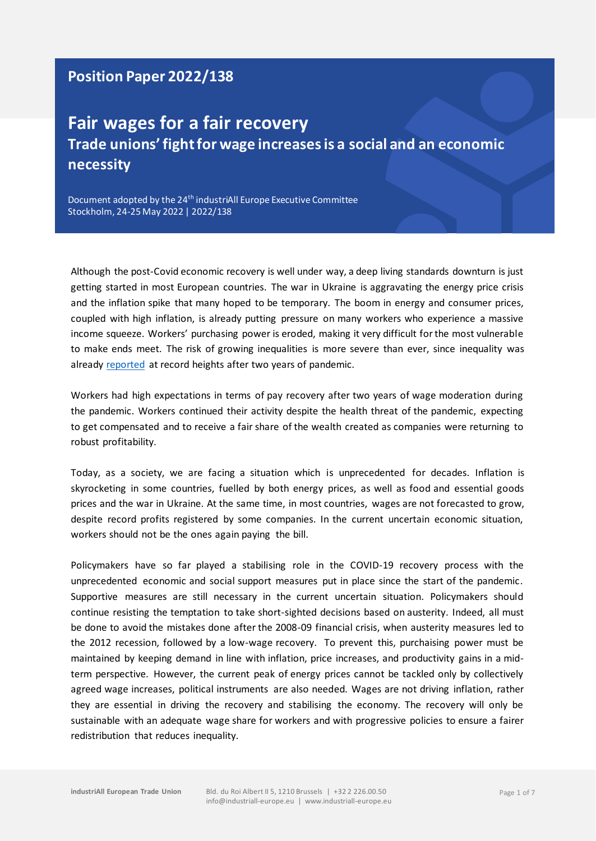## **Position Paper 2022/138**

# **Fair wages for a fair recovery Trade unions' fight for wage increases is a social and an economic necessity**

Document adopted by the 24<sup>th</sup> industriAll Europe Executive Committee Stockholm, 24-25 May 2022 | 2022/138

Although the post-Covid economic recovery is well under way, a deep living standards downturn is just getting started in most European countries. The war in Ukraine is aggravating the energy price crisis and the inflation spike that many hoped to be temporary. The boom in energy and consumer prices, coupled with high inflation, is already putting pressure on many workers who experience a massive income squeeze. Workers' purchasing power is eroded, making it very difficult for the most vulnerable to make ends meet. The risk of growing inequalities is more severe than ever, since inequality was already [reported](https://policy-practice.oxfam.org/resources/inequality-kills-the-unparalleled-action-needed-to-combat-unprecedented-inequal-621341/) at record heights after two years of pandemic.

Workers had high expectations in terms of pay recovery after two years of wage moderation during the pandemic. Workers continued their activity despite the health threat of the pandemic, expecting to get compensated and to receive a fair share of the wealth created as companies were returning to robust profitability.

Today, as a society, we are facing a situation which is unprecedented for decades. Inflation is skyrocketing in some countries, fuelled by both energy prices, as well as food and essential goods prices and the war in Ukraine. At the same time, in most countries, wages are not forecasted to grow, despite record profits registered by some companies. In the current uncertain economic situation, workers should not be the ones again paying the bill.

Policymakers have so far played a stabilising role in the COVID-19 recovery process with the unprecedented economic and social support measures put in place since the start of the pandemic. Supportive measures are still necessary in the current uncertain situation. Policymakers should continue resisting the temptation to take short-sighted decisions based on austerity. Indeed, all must be done to avoid the mistakes done after the 2008-09 financial crisis, when austerity measures led to the 2012 recession, followed by a low-wage recovery. To prevent this, purchaising power must be maintained by keeping demand in line with inflation, price increases, and productivity gains in a midterm perspective. However, the current peak of energy prices cannot be tackled only by collectively agreed wage increases, political instruments are also needed. Wages are not driving inflation, rather they are essential in driving the recovery and stabilising the economy. The recovery will only be sustainable with an adequate wage share for workers and with progressive policies to ensure a fairer redistribution that reduces inequality.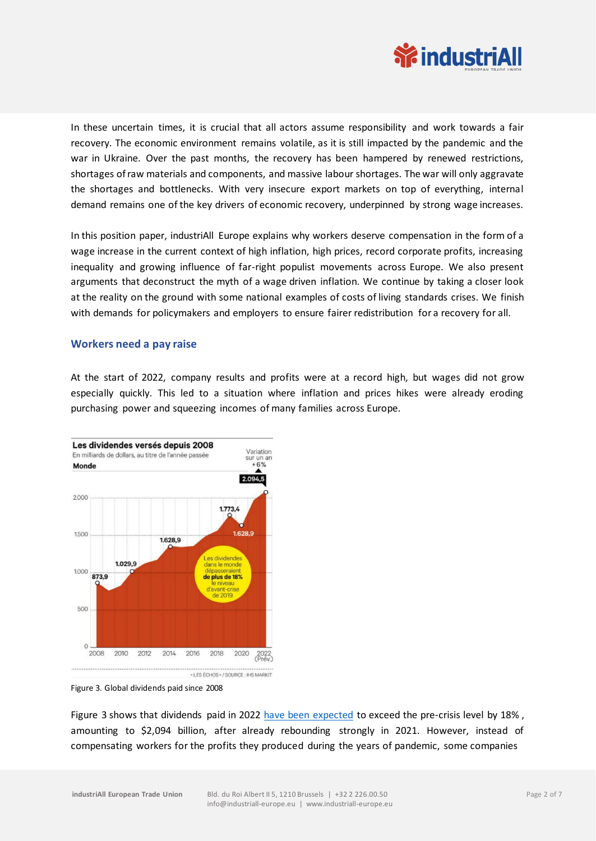

In these uncertain times, it is crucial that all actors assume responsibility and work towards a fair recovery. The economic environment remains volatile, as it is still impacted by the pandemic and the war in Ukraine. Over the past months, the recovery has been hampered by renewed restrictions, shortages of raw materials and components, and massive labour shortages. The war will only aggravate the shortages and bottlenecks. With very insecure export markets on top of everything, internal demand remains one of the key drivers of economic recovery, underpinned by strong wage increases.

In this position paper, industriAll Europe explains why workers deserve compensation in the form of a wage increase in the current context of high inflation, high prices, record corporate profits, increasing inequality and growing influence of far-right populist movements across Europe. We also present arguments that deconstruct the myth of a wage driven inflation. We continue by taking a closer look at the reality on the ground with some national examples of costs of living standards crises. We finish with demands for policymakers and employers to ensure fairer redistribution for a recovery for all.

#### **Workers need a pay raise**

At the start of 2022, company results and profits were at a record high, but wages did not grow especially quickly. This led to a situation where inflation and prices hikes were already eroding purchasing power and squeezing incomes of many families across Europe.



Figure 3. Global dividends paid since 2008

Figure 3 shows that dividends paid in 2022 [have been expected](https://www.lesechos.fr/finance-marches/marches-financiers/les-dividendes-mondiaux-devraient-depasser-les-2000-milliards-de-dollars-en-2022-1378450) to exceed the pre-crisis level by 18% , amounting to \$2,094 billion, after already rebounding strongly in 2021. However, instead of compensating workers for the profits they produced during the years of pandemic, some companies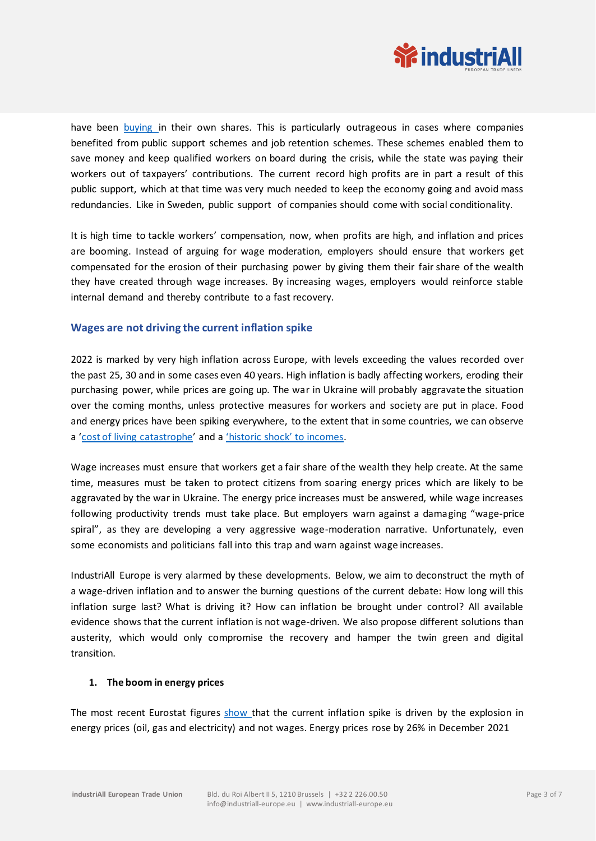

have been [buying in](https://www.handelsblatt.com/unternehmen/management/adidas-sap-und-andere-neuer-rekord-dax-konzerne-kaufen-fuer-fast-18-milliarden-euro-eigene-aktien-zurueck/27968326.html?share=mail) their own shares. This is particularly outrageous in cases where companies benefited from public support schemes and job retention schemes. These schemes enabled them to save money and keep qualified workers on board during the crisis, while the state was paying their workers out of taxpayers' contributions. The current record high profits are in part a result of this public support, which at that time was very much needed to keep the economy going and avoid mass redundancies. Like in Sweden, public support of companies should come with social conditionality.

It is high time to tackle workers' compensation, now, when profits are high, and inflation and prices are booming. Instead of arguing for wage moderation, employers should ensure that workers get compensated for the erosion of their purchasing power by giving them their fair share of the wealth they have created through wage increases. By increasing wages, employers would reinforce stable internal demand and thereby contribute to a fast recovery.

### **Wages are not driving the current inflation spike**

2022 is marked by very high inflation across Europe, with levels exceeding the values recorded over the past 25, 30 and in some cases even 40 years. High inflation is badly affecting workers, eroding their purchasing power, while prices are going up. The war in Ukraine will probably aggravate the situation over the coming months, unless protective measures for workers and society are put in place. Food and energy prices have been spiking everywhere, to the extent that in some countries, we can observe a '[cost of living catastrophe](https://www.ft.com/content/dd394dc1-076d-4d71-88dc-2a33132185c7?emailId=61d8634430eca10004c8db50&segmentId=2785c52b-1c00-edaa-29be-7452cf90b5a2)' and a ['historic shock' to incomes](https://www.ft.com/content/1b303855-cc54-4e4b-83f6-d0f3e764b6cf?emailId=6242893a53c0a40023171c03&segmentId=22011ee7-896a-8c4c-22a0-7603348b7f22).

Wage increases must ensure that workers get a fair share of the wealth they help create. At the same time, measures must be taken to protect citizens from soaring energy prices which are likely to be aggravated by the war in Ukraine. The energy price increases must be answered, while wage increases following productivity trends must take place. But employers warn against a damaging "wage-price spiral", as they are developing a very aggressive wage-moderation narrative. Unfortunately, even some economists and politicians fall into this trap and warn against wage increases.

IndustriAll Europe is very alarmed by these developments. Below, we aim to deconstruct the myth of a wage-driven inflation and to answer the burning questions of the current debate: How long will this inflation surge last? What is driving it? How can inflation be brought under control? All available evidence shows that the current inflation is not wage-driven. We also propose different solutions than austerity, which would only compromise the recovery and hamper the twin green and digital transition.

#### **1. The boom in energy prices**

The most recent Eurostat figures [show t](https://ec.europa.eu/eurostat/documents/2995521/14083883/2-07012022-AP-EN.pdf/49039c42-31ea-3513-8307-eece31d6b25a)hat the current inflation spike is driven by the explosion in energy prices (oil, gas and electricity) and not wages. Energy prices rose by 26% in December 2021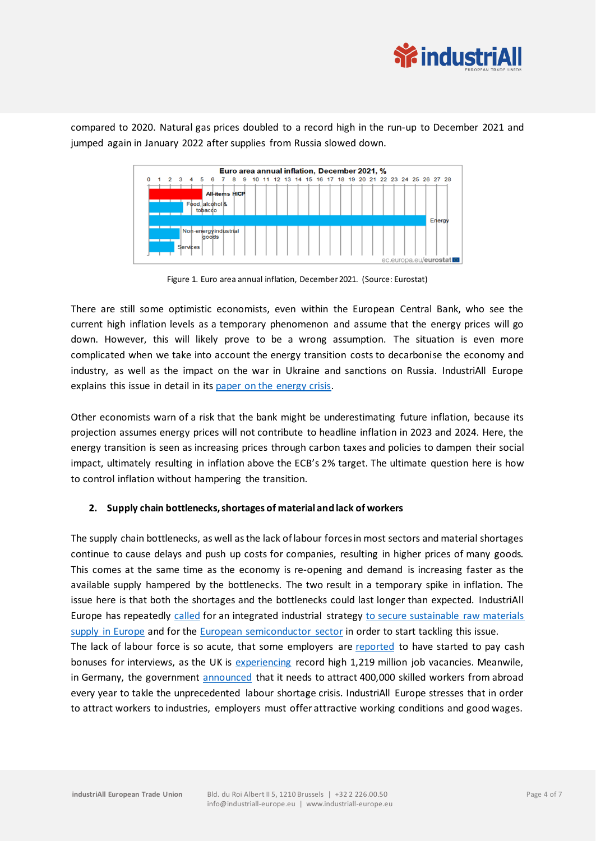

compared to 2020. Natural gas prices doubled to a record high in the run-up to December 2021 and jumped again in January 2022 after supplies from Russia slowed down.



Figure 1. Euro area annual inflation, December 2021. (Source: Eurostat)

There are still some optimistic economists, even within the European Central Bank, who see the current high inflation levels as a temporary phenomenon and assume that the energy prices will go down. However, this will likely prove to be a wrong assumption. The situation is even more complicated when we take into account the energy transition costs to decarbonise the economy and industry, as well as the impact on the war in Ukraine and sanctions on Russia. IndustriAll Europe explains this issue in detail in its [paper on the energy crisis.](https://news.industriall-europe.eu/content/documents/upload/2022/3/637831178950103727_Policy%20brief%20-%20EN%20-%20The%20energy%20prices%20crisis%20and%20the%20EU%E2%80%99s%20answers.pdf)

Other economists warn of a risk that the bank might be underestimating future inflation, because its projection assumes energy prices will not contribute to headline inflation in 2023 and 2024. Here, the energy transition is seen as increasing prices through carbon taxes and policies to dampen their social impact, ultimately resulting in inflation above the ECB's 2% target. The ultimate question here is how to control inflation without hampering the transition.

#### **2. Supply chain bottlenecks, shortages of material and lack of workers**

The supply chain bottlenecks, as well as the lack of labour forces in most sectors and material shortages continue to cause delays and push up costs for companies, resulting in higher prices of many goods. This comes at the same time as the economy is re-opening and demand is increasing faster as the available supply hampered by the bottlenecks. The two result in a temporary spike in inflation. The issue here is that both the shortages and the bottlenecks could last longer than expected. IndustriAll Europe has repeatedly [called](https://agenda.industriall-europe.eu/uploads/documents/2022/1/637781862262595382_Adopted-TheEuropeanSemiconductorIndustryNeedsAWellConceivedStrategy-EN.pdf) for an integrated industrial strategy [to secure sustainable raw materials](https://news.industriall-europe.eu/content/documents/upload/2021/6/637593401830926939_CRM-position-EN.pdf)  [supply in Europe](https://news.industriall-europe.eu/content/documents/upload/2021/6/637593401830926939_CRM-position-EN.pdf) and for the [European semiconductor sector](https://agenda.industriall-europe.eu/uploads/documents/2022/1/637781862262595382_Adopted-TheEuropeanSemiconductorIndustryNeedsAWellConceivedStrategy-EN.pdf) in order to start tackling this issue. The lack of labour force is so acute, that some employers are [reported](https://www.ft.com/content/73a589fa-e115-4286-9f8a-610f6da7cf1a?emailId=61f18ac451f54e000420c214&segmentId=2785c52b-1c00-edaa-29be-7452cf90b5a2) to have started to pay cash bonuses for interviews, as the UK is [experiencing](https://www.ons.gov.uk/employmentandlabourmarket/peopleinwork/employmentandemployeetypes/bulletins/uklabourmarket/december2021) record high 1,219 million job vacancies. Meanwile, in Germany, the government [announced](https://www.euractiv.com/section/economy-jobs/news/germany-wants-to-attract-400000-skilled-workers-from-abroad-each-year/?utm_source=piano&utm_medium=email&utm_campaign=9720&pnespid=6LNjECpAP64E3.rSqzHuFYqP7wu.U5wodLm.2LB59EBmTg_VcasMRvT7bbwDjnAXX2jNKlaDeQ) that it needs to attract 400,000 skilled workers from abroad every year to takle the unprecedented labour shortage crisis. IndustriAll Europe stresses that in order to attract workers to industries, employers must offer attractive working conditions and good wages.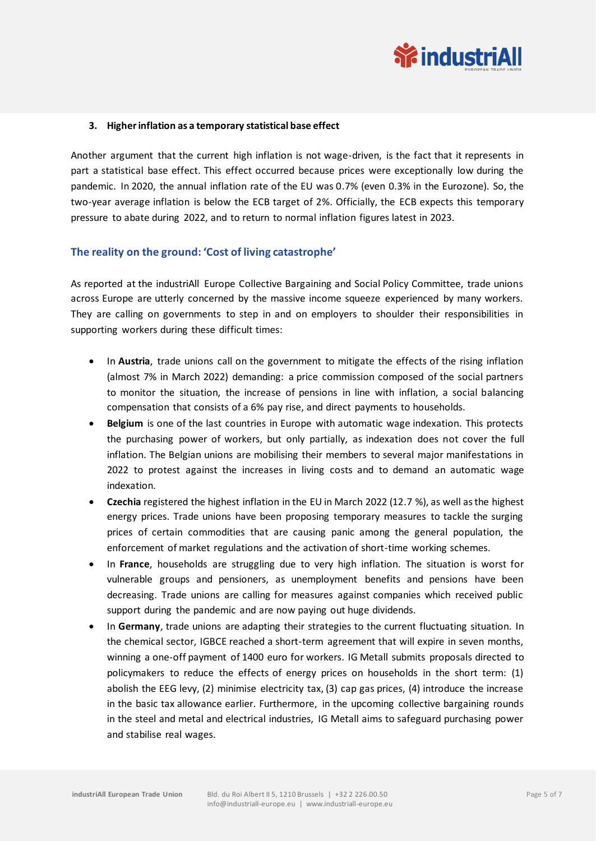

#### **3. Higherinflation as a temporary statistical base effect**

Another argument that the current high inflation is not wage-driven, is the fact that it represents in part a statistical base effect. This effect occurred because prices were exceptionally low during the pandemic. In 2020, the annual inflation rate of the EU was 0.7% (even 0.3% in the Eurozone). So, the two-year average inflation is below the ECB target of 2%. Officially, the ECB expects this temporary pressure to abate during 2022, and to return to normal inflation figures latest in 2023.

#### **The reality on the ground: 'Cost of living catastrophe'**

As reported at the industriAll Europe Collective Bargaining and Social Policy Committee, trade unions across Europe are utterly concerned by the massive income squeeze experienced by many workers. They are calling on governments to step in and on employers to shoulder their responsibilities in supporting workers during these difficult times:

- In **Austria**, trade unions call on the government to mitigate the effects of the rising inflation (almost 7% in March 2022) demanding: a price commission composed of the social partners to monitor the situation, the increase of pensions in line with inflation, a social balancing compensation that consists of a 6% pay rise, and direct payments to households.
- **Belgium** is one of the last countries in Europe with automatic wage indexation. This protects the purchasing power of workers, but only partially, as indexation does not cover the full inflation. The Belgian unions are mobilising their members to several major manifestations in 2022 to protest against the increases in living costs and to demand an automatic wage indexation.
- **Czechia** registered the highest inflation in the EU in March 2022 (12.7 %), as well as the highest energy prices. Trade unions have been proposing temporary measures to tackle the surging prices of certain commodities that are causing panic among the general population, the enforcement of market regulations and the activation of short-time working schemes.
- In **France**, households are struggling due to very high inflation. The situation is worst for vulnerable groups and pensioners, as unemployment benefits and pensions have been decreasing. Trade unions are calling for measures against companies which received public support during the pandemic and are now paying out huge dividends.
- In **Germany**, trade unions are adapting their strategies to the current fluctuating situation. In the chemical sector, IGBCE reached a short-term agreement that will expire in seven months, winning a one-off payment of 1400 euro for workers. IG Metall submits proposals directed to policymakers to reduce the effects of energy prices on households in the short term: (1) abolish the EEG levy, (2) minimise electricity tax, (3) cap gas prices, (4) introduce the increase in the basic tax allowance earlier. Furthermore, in the upcoming collective bargaining rounds in the steel and metal and electrical industries, IG Metall aims to safeguard purchasing power and stabilise real wages.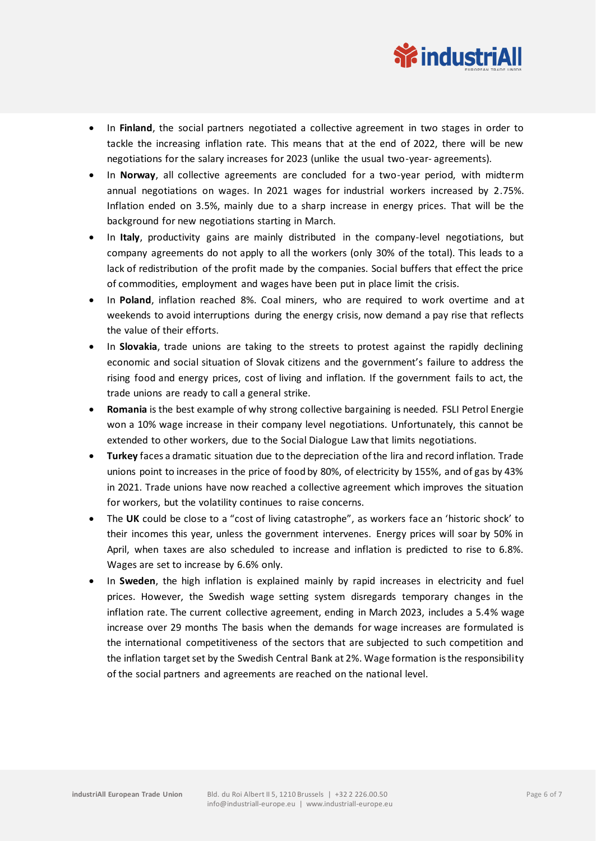

- In **Finland**, the social partners negotiated a collective agreement in two stages in order to tackle the increasing inflation rate. This means that at the end of 2022, there will be new negotiations for the salary increases for 2023 (unlike the usual two-year- agreements).
- In **Norway**, all collective agreements are concluded for a two-year period, with midterm annual negotiations on wages. In 2021 wages for industrial workers increased by 2.75%. Inflation ended on 3.5%, mainly due to a sharp increase in energy prices. That will be the background for new negotiations starting in March.
- In **Italy**, productivity gains are mainly distributed in the company-level negotiations, but company agreements do not apply to all the workers (only 30% of the total). This leads to a lack of redistribution of the profit made by the companies. Social buffers that effect the price of commodities, employment and wages have been put in place limit the crisis.
- In **Poland**, inflation reached 8%. Coal miners, who are required to work overtime and at weekends to avoid interruptions during the energy crisis, now demand a pay rise that reflects the value of their efforts.
- In **Slovakia**, trade unions are taking to the streets to protest against the rapidly declining economic and social situation of Slovak citizens and the government's failure to address the rising food and energy prices, cost of living and inflation. If the government fails to act, the trade unions are ready to call a general strike.
- **Romania** is the best example of why strong collective bargaining is needed. FSLI Petrol Energie won a 10% wage increase in their company level negotiations. Unfortunately, this cannot be extended to other workers, due to the Social Dialogue Law that limits negotiations.
- **Turkey** faces a dramatic situation due to the depreciation of the lira and record inflation. Trade unions point to increases in the price of food by 80%, of electricity by 155%, and of gas by 43% in 2021. Trade unions have now reached a collective agreement which improves the situation for workers, but the volatility continues to raise concerns.
- The **UK** could be close to a "cost of living catastrophe", as workers face an 'historic shock' to their incomes this year, unless the government intervenes. Energy prices will soar by 50% in April, when taxes are also scheduled to increase and inflation is predicted to rise to 6.8%. Wages are set to increase by 6.6% only.
- In **Sweden**, the high inflation is explained mainly by rapid increases in electricity and fuel prices. However, the Swedish wage setting system disregards temporary changes in the inflation rate. The current collective agreement, ending in March 2023, includes a 5.4% wage increase over 29 months The basis when the demands for wage increases are formulated is the international competitiveness of the sectors that are subjected to such competition and the inflation target set by the Swedish Central Bank at 2%. Wage formation is the responsibility of the social partners and agreements are reached on the national level.